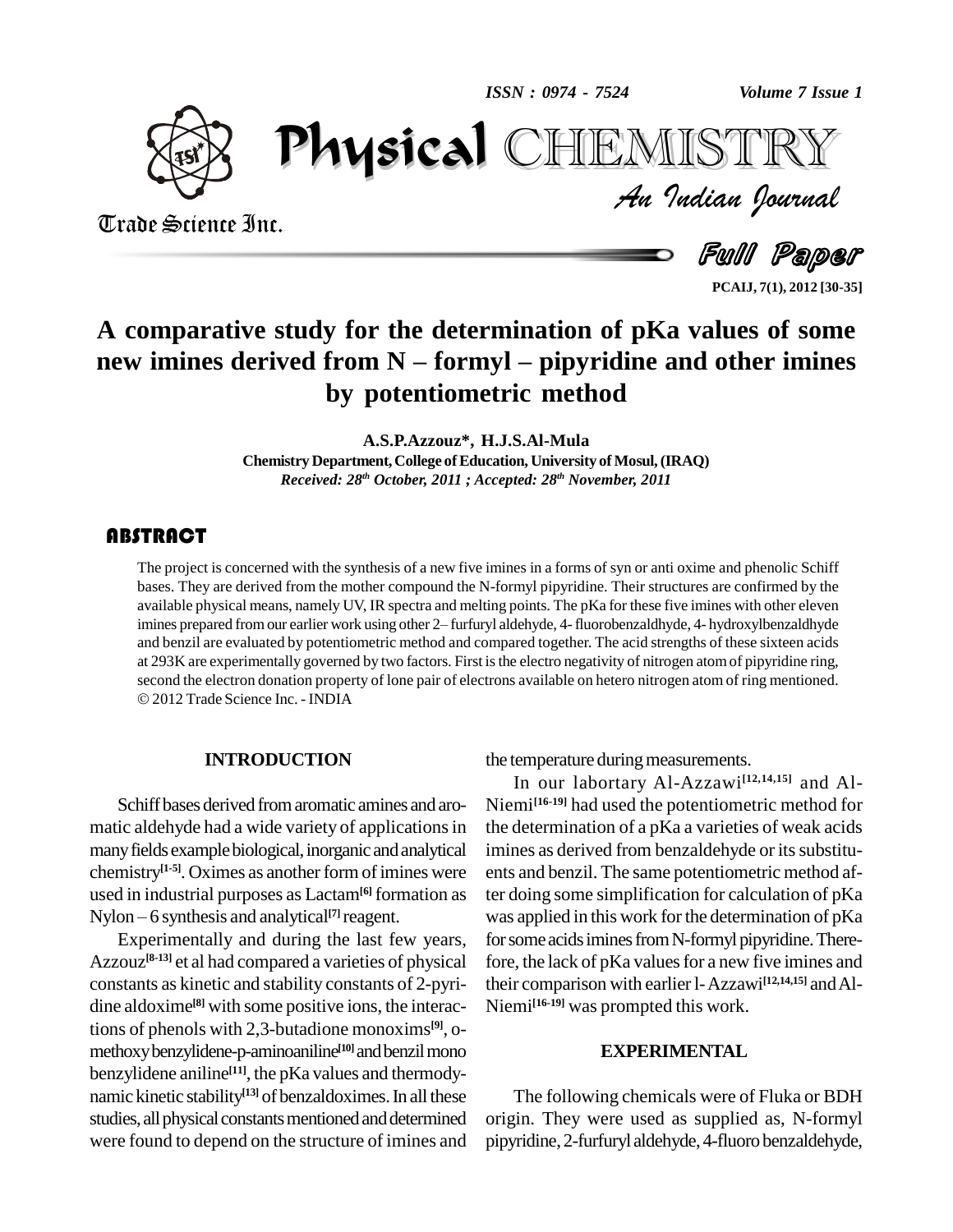*ISSN : 0974 - 7524*



*Volume 7 Issue 1*<br>IISTRY<br>Indian Iournal PhysicalHEMISTRY

Trade Science Inc. Trade Science Inc.

Full Paper **PCAIJ, 7(1), 2012 [30-35]**

# **A comparative study for the determination of pKa values of some herewent interpretently as a fine of the determination of pKa values of some new imines derived from N – formyl – pipyridine and other imines by potentiometric method**

**A.S.P.Azzouz\*, H.J.S.Al-Mula**

**Chemistry Department,College ofEducation, University ofMosul,(IRAQ)** *Received: 28 th October, 2011 ; Accepted: 28 th November, 2011*

The project is concerned<br>bases. They are derived if<br>available physical means The project is concerned with the synthesis of a new five imines in a forms of syn or anti oxime and phenolic Schiff bases. They are derived from the mother compound the N-formyl pipyridine. Their structures are confirmed by the available physical means, namely UV, IR spectra and melting points. The pKa for these five imines with other eleven bases. They are derived from the mother compound the N-formyl pipyridine. Their structures are confirmed by the<br>available physical means, namely UV, IR spectra and melting points. The pKa for these five imines with other e and benzil are evaluated by potentiometric method and compared together. The acid strengths of these sixteen acids at 293K are experimentally governed by two factors. First isthe electro negativity of nitrogen atomof pipyridine ring, second the electron donation property of lone pair of electrons available on hetero nitrogen atom of ring mentioned. 2012Trade Science Inc. - INDIA

#### **INTRODUCTION**

Schiff bases derived from aromatic amines and aromatic aldehyde had a wide variety of applications in many fields example biological, inorganic and analytical chemistry<sup>[1-5]</sup>. Oximes as another form of imines were ents a<br>used in industrial purposes as Lactam<sup>[6]</sup> formation as ter do<br>Nylon – 6 synthesis and analytical<sup>[7]</sup> reagent. was a used in industrial purposes as Lactam**[6]** formation as Nylon – 6 synthesis and analytical<sup>[7]</sup> reagent.

Experimentally and during the last few years, Azzouz<sup>[8-13]</sup> et al had compared a varieties of physical for constants as kinetic and stability constants of 2-pyri dine aldoxime **[8]** with some positive ions, the interactions of phenols with 2,3-butadione monoxims **[9]**, o methoxybenzylidene-p-aminoaniline **[10]**andbenzilmono benzylidene aniline **[11]**, the pKa values and thermody namic kinetic stability<sup>[13]</sup> of benzaldoximes. In all these Tl studies, all physical constants mentioned and determined were found to depend on the structure of imines and

the temperature during measurements.

In our labortary Al-Azzawi **[12,14,15]** and Al- Niemi **[16-19]** had used the potentiometric method for the determination of a pKa a varieties of weak acids imines as derived from benzaldehyde or its substituents and benzil. The same potentiometric method after doing some simplification for calculation of pKa was applied in this work for the determination of pKa for some acids imines from N-formyl pipyridine. Therefore, the lack of pKa values for a new five imines and their comparison with earlier l-Azzawi **[12,14,15]** andAl- Niemi **[16-19]** was prompted this work.

#### **EXPERIMENTAL**

The following chemicals were of Fluka or BDH origin. They were used as supplied as, N-formyl pipyridine, 2-furfuryl aldehyde, 4-fluoro benzaldehyde,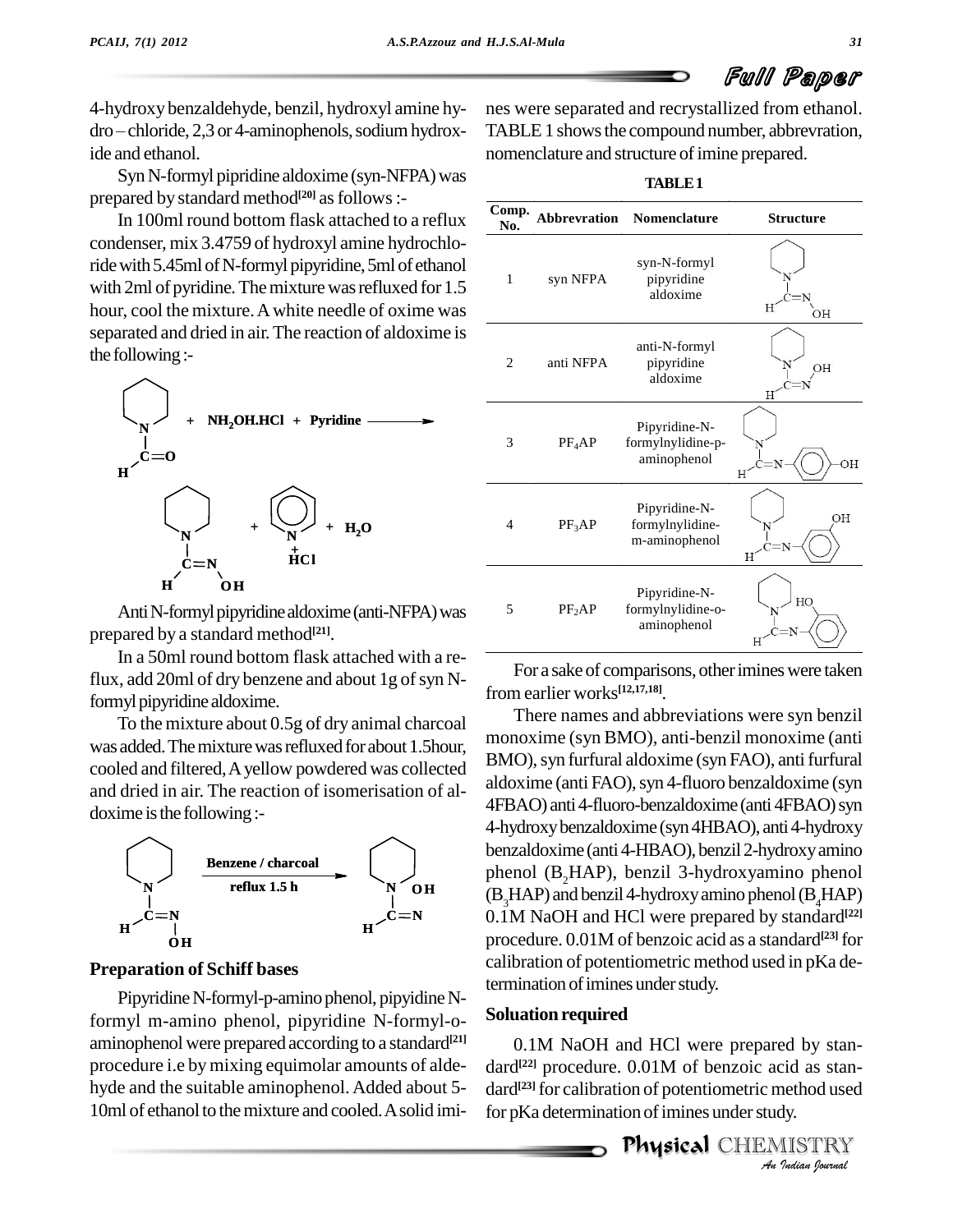4-hydroxy benzaldehyde, benzil, hydroxyl amine hy  $dro$  - chloride, 2,3 or 4-aminophenols, sodium hydroxide and ethanol.

Syn N-formyl pipridine aldoxime (syn-NFPA) was prepared by standard method<sup>[20]</sup> as follows :-

In 100ml round bottom flask attached to a reflux condenser, mix 3.4759 of hydroxyl amine hydrochloride with 5.45ml of N-formyl pipyridine, 5ml of ethanol with 2ml of pyridine. The mixture was refluxed for 1.5 hour, cool the mixture.Awhite needle of oxime was separated and dried in air.The reaction of aldoxime is the following:-



Anti N-formyl pipyridine aldoxime (anti-NFPA) was prepared by a standard method **[21]**.

In a 50ml round bottom flask attached with a reflux, add 20ml of dry benzene and about  $1g$  of syn Nformyl pipyridine aldoxime.

To the mixture about 0.5g of dry animal charcoal was added. The mixture was refluxed for about 1.5hour, cooled and filtered,Ayellow powdered was collected and dried in air. The reaction of isomerisation of al doxime is the following:-



### **Preparation of Schiff bases**

Pipyridine N-formyl-p-amino phenol, pipyidine Nformyl m-amino phenol, pipyridine N-formyl-o aminophenol were prepared according to a standard<sup>[21]</sup> ( procedure i.e bymixing equimolar amounts of alde hyde and the suitable aminophenol.Added about 5- 10ml of ethanol to the mixture and cooled. A solid imi-

nes were separated and recrystallized from ethanol. TABLE 1 shows the compound number, abbrevration, nomenclature and structure of imine prepared.

|              |                    | <b>TABLE1</b>                                     |                  |
|--------------|--------------------|---------------------------------------------------|------------------|
| Comp.<br>No. | Abbrevration       | <b>Nomenclature</b>                               | <b>Structure</b> |
| 1            | syn NFPA           | syn-N-formyl<br>pipyridine<br>aldoxime            | Η<br>OН          |
| 2            | anti NFPA          | anti-N-formyl<br>pipyridine<br>aldoxime           | OH<br>Η          |
| 3            | PF <sub>4</sub> AP | Pipyridine-N-<br>formylnylidine-p-<br>aminophenol | ΟH<br>Η          |
| 4            | $PF_3AP$           | Pipyridine-N-<br>formylnylidine-<br>m-aminophenol | OH<br>Η          |
| 5            | $PF_2AP$           | Pipyridine-N-<br>formylnylidine-o-<br>aminophenol | HO<br>Н          |
|              |                    |                                                   |                  |

For a sake of comparisons, other imines were taken from earlier works **[12,17,18]**.

There names and abbreviations were syn benzil monoxime (syn BMO), anti-benzil monoxime (anti BMO), syn furfural aldoxime (syn FAO), anti furfural aldoxime (anti FAO), syn 4-fluoro benzaldoxime (syn 4FBAO) anti 4-fluoro-benzaldoxime (anti 4FBAO) syn 4-hydroxy benzaldoxime (syn 4HBAO), anti 4-hydroxy benzaldoxime (anti 4-HBAO), benzil 2-hydroxy amino phenol (B2HAP), benzil 3-hydroxyamino phenol  $(B, HAP)$  and benzil 4-hydroxy amino phenol  $(B, HAP)$ **c**=**N** 0.1M NaOH and HCl were prepared by standard<sup>[22]</sup> procedure. 0.01M of benzoic acid as a standard **[23]** for calibration of potentiometric method used in pKa determination of imines under study.

#### **Soluation required**

0.1M NaOH and HCl were prepared by staned by stan-<br>*id* as stan-<br>nethod used<br>dy.<br><u>IlSTRY</u> dard **[22]** procedure. 0.01M of benzoic acid as stan dard **[23]** for calibration of potentiometric method used for pKa determination of imines under study.

Physical CHEMISTRY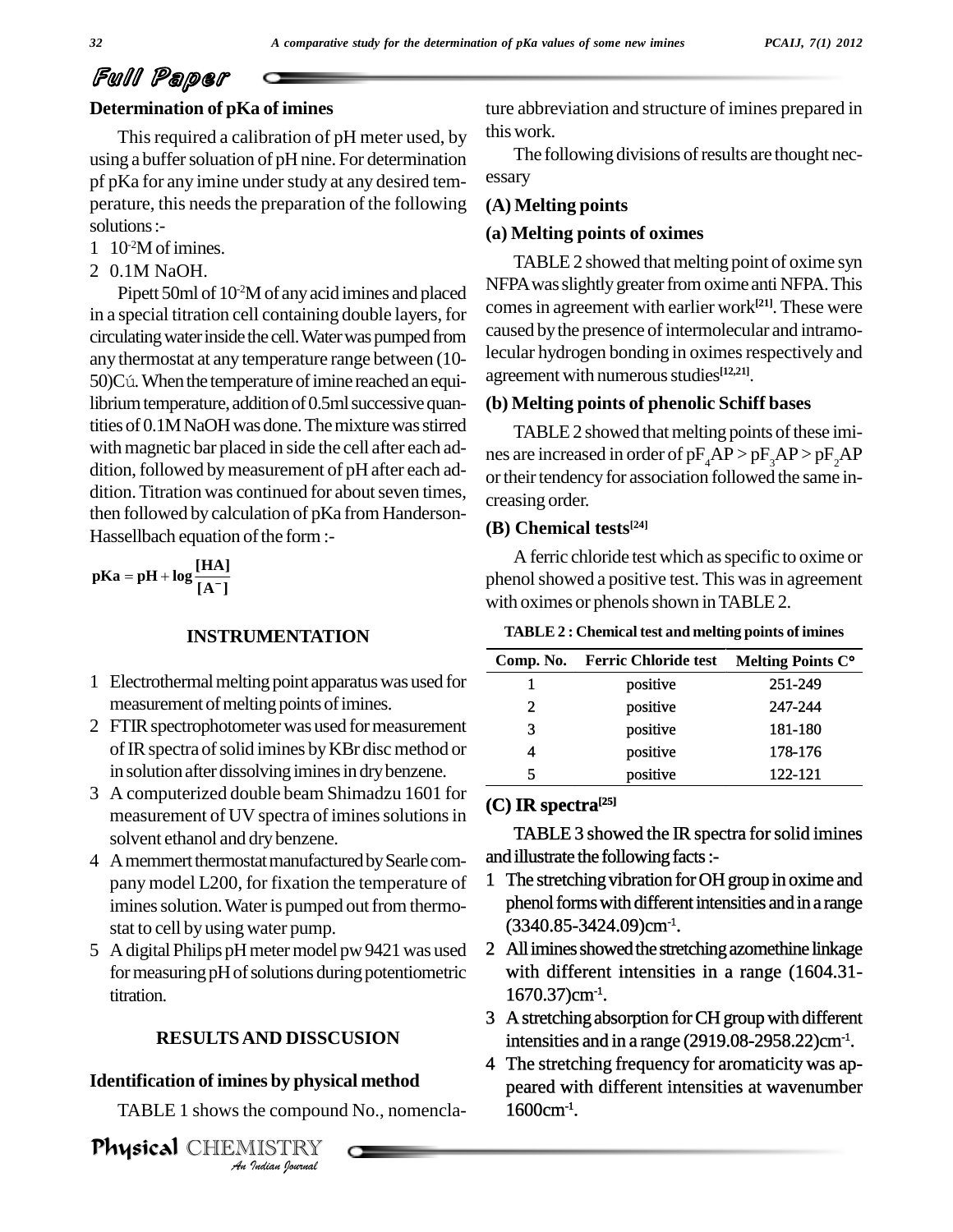## Full Paper

### **Determination of pKa of imines**

This required a calibration of pH meter used, by using a buffer soluation of pH nine. For determination pf pKa for any imine under study at any desired temperature, this needs the preparation of the following solutions:-

- 1 10 -2Mofimines.
- 2 0.1M NaOH.

Pipett 50ml of  $10<sup>2</sup>M$  of any acid imines and placed  $10<sup>1</sup> NFA$ in a special titration cell containing double layers, for circulating water inside the cell. Water was pumped from any thermostat at any temperature range between (10- 50)Cú. When the temperature of imine reached an equilibrium temperature, addition of 0.5ml successive quantities of 0.1MNaOH was done. The mixture was stirred with magnetic bar placed in side the cell after each addition, followed by measurement of pH after each addition. Titration was continued for about seven times, then followed by calculation of pKa from Handerson- Hassellbach equation of the form :-

**[A ] Example 1**<br> **pKa** = **pH** + **log**  $\frac{[HA]}{[HA]}$ 

#### **INSTRUMENTATION**

- 1 Electrothermal melting point apparatus was used for measurement of melting points of imines.
- 2 FTIR spectrophotometer was used for measurement of IR spectra of solid imines by KBr disc method or in solution after dissolving imines in dry benzene.
- 3 A computerized double beam Shimadzu 1601 for measurement of UV spectra of imines solutions in solvent ethanol and dry benzene.
- 4 A memmert thermostat manufactured by Searle company model L200, for fixation the temperature of imines solution. Water is pumped out from thermostat to cell by using water pump.
- 5 A digital Philips pH meter model pw 9421 was used for measuring pH of solutions during potentiometric titration.

### *An***RESULTSAND DISSCUSION**

#### **Identification of imines by physical method**

TABLE 1 shows the compound No., nomencla-

*IND DISSC*<br>**I**ndian *ISTRY*<br>*IISTRY*<br>*Indian Iournal* Physical CHEMISTRY ture abbreviation and structure of imines prepared in thiswork.

The following divisions of results are thought necessary

#### **(A) Melting points**

#### **(a) Melting points of oximes**

TABLE 2 showed that melting point of oxime syn NFPA was slightly greater from oxime anti NFPA. This comes in agreement with earlier work<sup>[21]</sup>. These were caused by the presence of intermolecular and intramolecular hydrogen bonding in oximes respectively and agreement with numerous studies<sup>[12,21]</sup>.

#### **(b) Melting points of phenolic Schiff bases**

TABLE 2 showed that melting points of these imines are increased in order of  $pF<sub>A</sub>AP > pF<sub>3</sub>AP > pF<sub>2</sub>AP$ or their tendency for association followed the same increasing order.

#### **(B) Chemical tests [24]**

A ferric chloride test which asspecific to oxime or phenol showed a positive test. This was in agreement with oximes or phenols shown in TABLE 2.

| TABLE 2 : Chemical test and melting points of imines |  |
|------------------------------------------------------|--|
|------------------------------------------------------|--|

| <b>TABLE 2: Chemical test and melting points of imines</b> |                             |                   |  |  |
|------------------------------------------------------------|-----------------------------|-------------------|--|--|
| Comp. No.                                                  | <b>Ferric Chloride test</b> | Melting Points C° |  |  |
| 1                                                          | positive                    | 251-249           |  |  |
| 2                                                          | positive                    | 247-244           |  |  |
| 3                                                          | positive                    | 181-180           |  |  |
| 4                                                          | positive                    | 178-176           |  |  |
| 5                                                          | positive                    | 122-121           |  |  |

#### **(C) IR spectra [25]**

TABLE 3 showed the IR spectra for solid imines and illustrate the following facts :-

- 1 The stretching vibration for OH group in oxime and phenol forms with different intensities and in a range (3340.85-3424.09)cm-1 .
- 2 All imines showed the stretching azomethine linkage with different intensities in a range (1604.31-  $1670.37$ )cm<sup>-1</sup>.
- 3 A stretching absorption for CH group with different intensities and in a range (2919.08-2958.22) $cm<sup>-1</sup>$ .
- 4 The stretching frequency for aromaticity was ap peared with different intensities at wavenumber  $1600 \text{cm}^{-1}$ .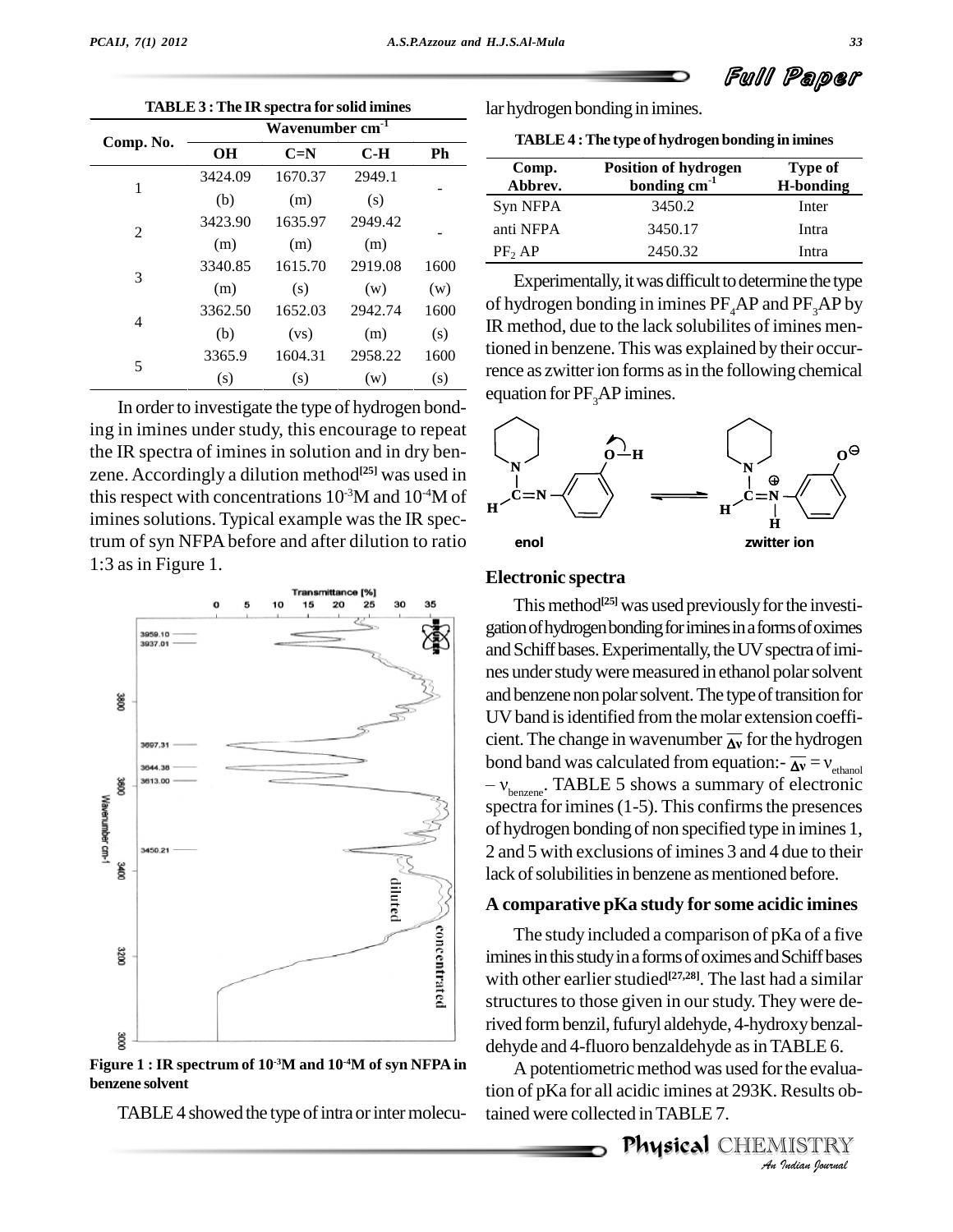**TABLE 3: The IR spectra for solid imines** 

|           | Wavenumber cm <sup>-1</sup> |         |         |      |  |  |
|-----------|-----------------------------|---------|---------|------|--|--|
| Comp. No. | <b>OH</b>                   | $C=N$   | $C-H$   | Ph   |  |  |
| 1         | 3424.09                     | 1670.37 | 2949.1  |      |  |  |
|           | (b)                         | (m)     | (s)     |      |  |  |
| 2         | 3423.90                     | 1635.97 | 2949.42 |      |  |  |
|           | (m)                         | (m)     | (m)     |      |  |  |
| 3         | 3340.85                     | 1615.70 | 2919.08 | 1600 |  |  |
|           | (m)                         | (s)     | (w)     | (w)  |  |  |
| 4         | 3362.50                     | 1652.03 | 2942.74 | 1600 |  |  |
|           | (b)                         | (vs)    | (m)     | (s)  |  |  |
| 5         | 3365.9                      | 1604.31 | 2958.22 | 1600 |  |  |
|           | (s)                         | (s)     | (w)     | (s)  |  |  |

In order to investigate the type of hydrogen bonding in imines under study, this encourage to repeat the IR spectra of imines in solution and in dry benzene. Accordingly a dilution method<sup>[25]</sup> was used in this respect with concentrations 10<sup>-3</sup>M and 10<sup>-4</sup>M of imines solutions. Typical example was the IR spectrum of syn NFPA before and after dilution to ratio 1:3 as in Figure 1.



Figure 1 : IR spectrum of 10<sup>-3</sup>M and 10<sup>-4</sup>M of syn NFPA in benzene solvent

TABLE 4 showed the type of intra or inter molecu-

lar hydrogen bonding in imines.

TABLE 4: The type of hydrogen bonding in imines

| Comp.<br>Abbrev.   | <b>Position of hydrogen</b><br>bonding $cm^{-1}$ | <b>Type of</b><br><b>H-bonding</b> |
|--------------------|--------------------------------------------------|------------------------------------|
| Syn NFPA           | 3450.2                                           | Inter                              |
| anti NFPA          | 3450.17                                          | Intra                              |
| PF <sub>2</sub> AP | 2450.32                                          | Intra                              |

Experimentally, it was difficult to determine the type of hydrogen bonding in imines  $PF_AAP$  and  $PF_3AP$  by IR method, due to the lack solubilities of imines mentioned in benzene. This was explained by their occurrence as zwitter ion forms as in the following chemical equation for PF<sub>3</sub>AP imines.



#### **Electronic spectra**

This method<sup>[25]</sup> was used previously for the investigation of hydrogen bonding for imines in a forms of oximes and Schiff bases. Experimentally, the UV spectra of imines under study were measured in ethanol polar solvent and benzene non polar solvent. The type of transition for UV band is identified from the molar extension coefficient. The change in wavenumber  $\overline{\Delta v}$  for the hydrogen bond band was calculated from equation:-  $\overline{\Delta v} = v_{\text{ethanol}}$  $-v_{benzene}$ . TABLE 5 shows a summary of electronic spectra for imines  $(1-5)$ . This confirms the presences of hydrogen bonding of non specified type in imines 1, 2 and 5 with exclusions of imines 3 and 4 due to their lack of solubilities in benzene as mentioned before.

#### A comparative pKa study for some acidic imines

The study included a comparison of pKa of a five imines in this study in a forms of oximes and Schiff bases with other earlier studied<sup>[27,28]</sup>. The last had a similar structures to those given in our study. They were derived form benzil, fufuryl aldehyde, 4-hydroxy benzaldehyde and 4-fluoro benzaldehyde as in TABLE 6.

A potentiometric method was used for the evaluation of pKa for all acidic imines at 293K. Results obtained were collected in TABLE 7.

> **Physical CHEMISTRY** An Indian Journal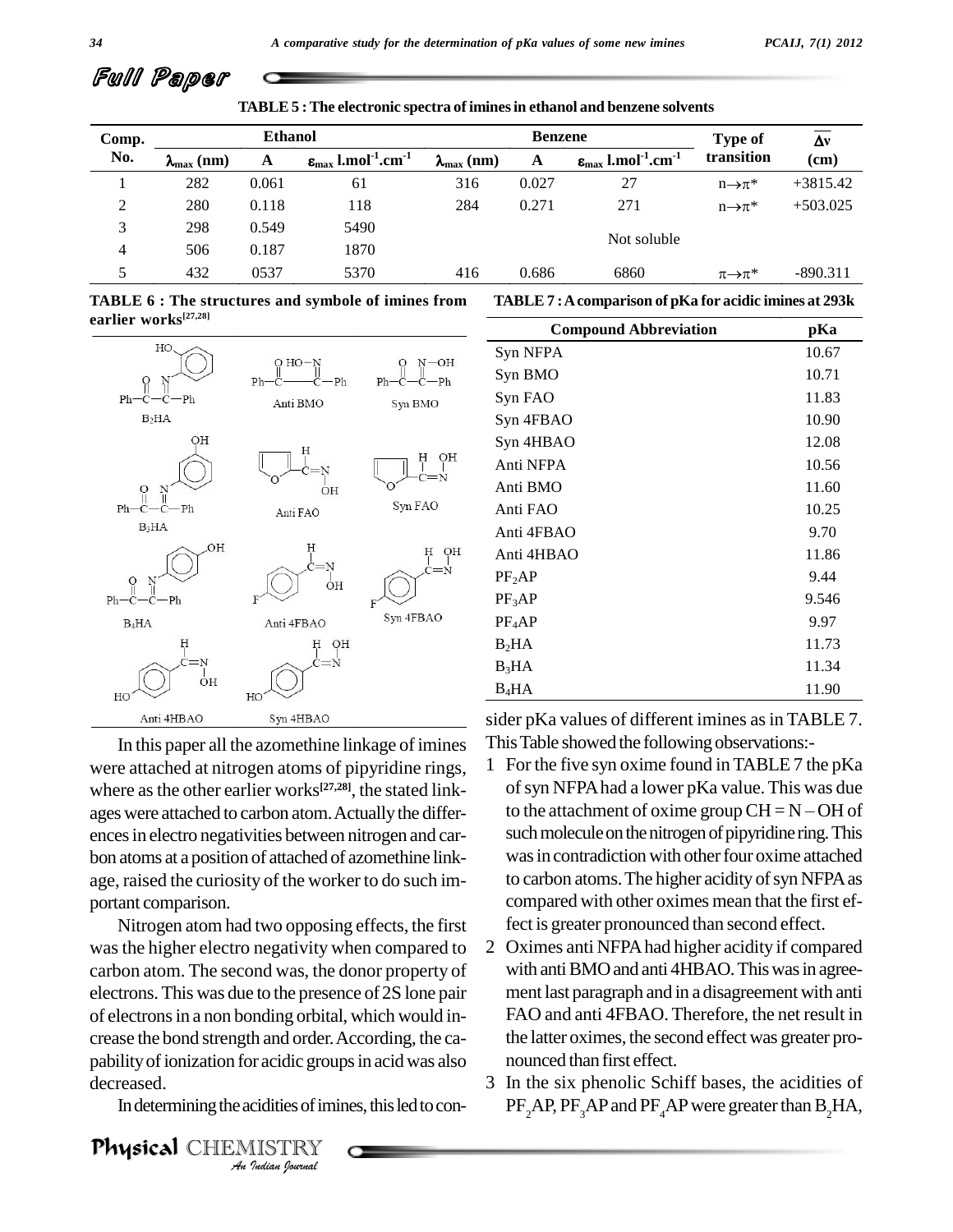### Full Paper

**TABLE5 :The electronic spectra of iminesin ethanol and benzene solvents**

| Comp.          | <b>Ethanol</b>        |       |                                                                  | <b>Benzene</b>        |       |                                                               | Type of                 | Δν         |
|----------------|-----------------------|-------|------------------------------------------------------------------|-----------------------|-------|---------------------------------------------------------------|-------------------------|------------|
| No.            | $\lambda_{\max}$ (nm) | A     | $\varepsilon_{\text{max}}$ l.mol <sup>-1</sup> .cm <sup>-1</sup> | $\lambda_{\max}$ (nm) | A     | $\varepsilon_{\rm max}$ l.mol <sup>-1</sup> .cm <sup>-1</sup> | transition              | (cm)       |
|                | 282                   | 0.061 | 61                                                               | 316                   | 0.027 | 27                                                            | $n\rightarrow \pi^*$    | $+3815.42$ |
| 2              | 280                   | 0.118 | 118                                                              | 284                   | 0.271 | 271                                                           | $n\rightarrow \pi^*$    | $+503.025$ |
| 3              | 298                   | 0.549 | 5490                                                             |                       |       |                                                               |                         |            |
| $\overline{4}$ | 506                   | 0.187 | 1870                                                             |                       |       | Not soluble                                                   |                         |            |
| 5              | 432                   | 0537  | 5370                                                             | 416                   | 0.686 | 6860                                                          | $\pi{\rightarrow}\pi^*$ | $-890.311$ |

| TABLE 6 : The structures and symbole of imines from TABLE 7 : A comparison of pKa for acidic imines at 293k |                                                |  |  |
|-------------------------------------------------------------------------------------------------------------|------------------------------------------------|--|--|
| earlier works <sup>[27,28]</sup>                                                                            |                                                |  |  |
|                                                                                                             | $\alpha$ iii $\alpha$ is the state of $\alpha$ |  |  |



In this paper all the azomethine linkage of imines were attached at nitrogen atoms of pipyridine rings, where as the other earlier works<sup>[27,28]</sup>, the stated linkencesin electro negativities between nitrogen and car bon atoms at a position of attached of azomethine link age, raised the curiosity of the worker to do such im portant comparison.

**Analysis and order.**<br>**A** for acidic group<br>**An** *ISTRY*<br>*An Indian Sparmal* Nitrogen atom had two opposing effects, the first wasthe higher electro negativity when compared to carbon atom. The second was, the donor property of electrons. This was due to the presence of 2S lone pair of electrons in a non bonding orbital, which would in-<br>crease the bond strength and order. According, the capability of ionization for acidic groups in acid was also decreased.

In determining the acidities of imines, this led to con-

Physical CHEMISTRY

| <b>Compound Abbreviation</b> | pKa   |
|------------------------------|-------|
| Syn NFPA                     | 10.67 |
| Syn BMO                      | 10.71 |
| Syn FAO                      | 11.83 |
| Syn 4FBAO                    | 10.90 |
| Syn 4HBAO                    | 12.08 |
| Anti NFPA                    | 10.56 |
| Anti BMO                     | 11.60 |
| Anti FAO                     | 10.25 |
| Anti 4FBAO                   | 9.70  |
| Anti 4HBAO                   | 11.86 |
| PF <sub>2</sub> AP           | 9.44  |
| $PF_3AP$                     | 9.546 |
| $PF_4AP$                     | 9.97  |
| $B_2HA$                      | 11.73 |
| $B_3HA$                      | 11.34 |
| $B_4HA$                      | 11.90 |

sider pKa values of different imines as in TABLE 7. ThisTable showed the following observations:-

- ages were attached to carbon atom. Actually the differ- to the attachment of oxime group  $CH = N OH$  of 1 For the five syn oxime found in TABLE 7 the pKa<br>of syn NFPA had a lower pKa value. This was due<br>to the attachment of oxime group  $CH = N - OH$  of ofsyn NFPAhad a lower pKa value.This was due such molecule on the nitrogen of pipyridine ring. This was in contradiction with other four oxime attached to carbon atoms. The higher acidity of syn NFPA as compared with other oximes mean that the first effect is greater pronounced than second effect.
	- 2 Oximes anti NFPAhad higher acidity if compared with anti BMO and anti 4HBAO. This was in agreement last paragraph and in a disagreement with anti FAO and anti 4FBAO. Therefore, the net result in the latter oximes, the second effectwas greater pro nounced than first effect.
	- 3 In the six phenolic Schiff bases, the acidities of  $PF<sub>3</sub>AP$ ,  $PF<sub>3</sub>AP$  and  $PF<sub>4</sub>AP$  were greater than  $B<sub>2</sub>HA$ ,